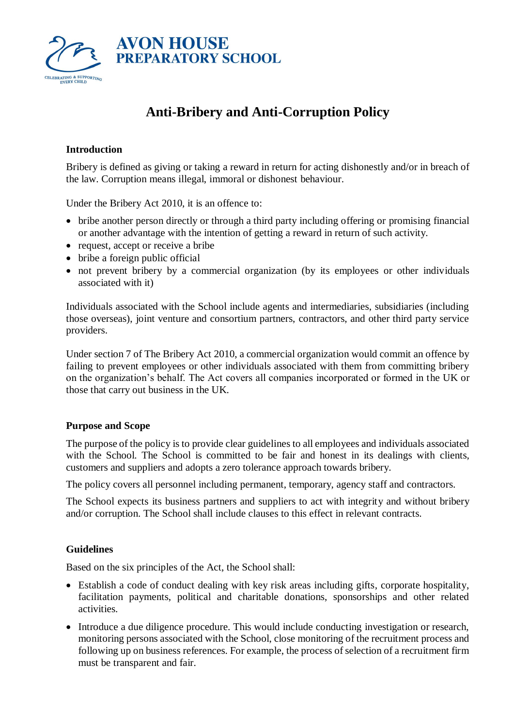

# **Anti-Bribery and Anti-Corruption Policy**

# **Introduction**

Bribery is defined as giving or taking a reward in return for acting dishonestly and/or in breach of the law. Corruption means illegal, immoral or dishonest behaviour.

Under the Bribery Act 2010, it is an offence to:

- bribe another person directly or through a third party including offering or promising financial or another advantage with the intention of getting a reward in return of such activity.
- request, accept or receive a bribe
- bribe a foreign public official
- not prevent bribery by a commercial organization (by its employees or other individuals associated with it)

Individuals associated with the School include agents and intermediaries, subsidiaries (including those overseas), joint venture and consortium partners, contractors, and other third party service providers.

Under section 7 of The Bribery Act 2010, a commercial organization would commit an offence by failing to prevent employees or other individuals associated with them from committing bribery on the organization's behalf. The Act covers all companies incorporated or formed in the UK or those that carry out business in the UK.

## **Purpose and Scope**

The purpose of the policy is to provide clear guidelines to all employees and individuals associated with the School. The School is committed to be fair and honest in its dealings with clients, customers and suppliers and adopts a zero tolerance approach towards bribery.

The policy covers all personnel including permanent, temporary, agency staff and contractors.

The School expects its business partners and suppliers to act with integrity and without bribery and/or corruption. The School shall include clauses to this effect in relevant contracts.

## **Guidelines**

Based on the six principles of the Act, the School shall:

- Establish a code of conduct dealing with key risk areas including gifts, corporate hospitality, facilitation payments, political and charitable donations, sponsorships and other related activities.
- Introduce a due diligence procedure. This would include conducting investigation or research, monitoring persons associated with the School, close monitoring of the recruitment process and following up on business references. For example, the process of selection of a recruitment firm must be transparent and fair.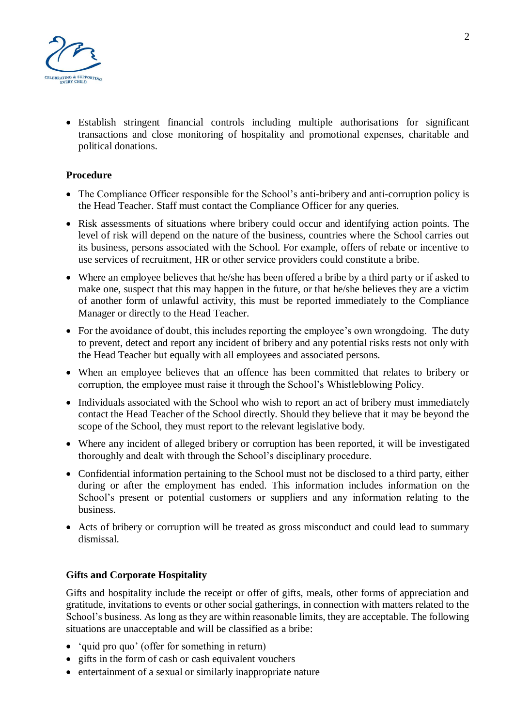

• Establish stringent financial controls including multiple authorisations for significant transactions and close monitoring of hospitality and promotional expenses, charitable and political donations.

# **Procedure**

- The Compliance Officer responsible for the School's anti-bribery and anti-corruption policy is the Head Teacher. Staff must contact the Compliance Officer for any queries.
- Risk assessments of situations where bribery could occur and identifying action points. The level of risk will depend on the nature of the business, countries where the School carries out its business, persons associated with the School. For example, offers of rebate or incentive to use services of recruitment, HR or other service providers could constitute a bribe.
- Where an employee believes that he/she has been offered a bribe by a third party or if asked to make one, suspect that this may happen in the future, or that he/she believes they are a victim of another form of unlawful activity, this must be reported immediately to the Compliance Manager or directly to the Head Teacher.
- For the avoidance of doubt, this includes reporting the employee's own wrongdoing. The duty to prevent, detect and report any incident of bribery and any potential risks rests not only with the Head Teacher but equally with all employees and associated persons.
- When an employee believes that an offence has been committed that relates to bribery or corruption, the employee must raise it through the School's Whistleblowing Policy.
- Individuals associated with the School who wish to report an act of bribery must immediately contact the Head Teacher of the School directly. Should they believe that it may be beyond the scope of the School, they must report to the relevant legislative body.
- Where any incident of alleged bribery or corruption has been reported, it will be investigated thoroughly and dealt with through the School's disciplinary procedure.
- Confidential information pertaining to the School must not be disclosed to a third party, either during or after the employment has ended. This information includes information on the School's present or potential customers or suppliers and any information relating to the business.
- Acts of bribery or corruption will be treated as gross misconduct and could lead to summary dismissal.

## **Gifts and Corporate Hospitality**

Gifts and hospitality include the receipt or offer of gifts, meals, other forms of appreciation and gratitude, invitations to events or other social gatherings, in connection with matters related to the School's business. As long as they are within reasonable limits, they are acceptable. The following situations are unacceptable and will be classified as a bribe:

- 'quid pro quo' (offer for something in return)
- gifts in the form of cash or cash equivalent vouchers
- entertainment of a sexual or similarly inappropriate nature